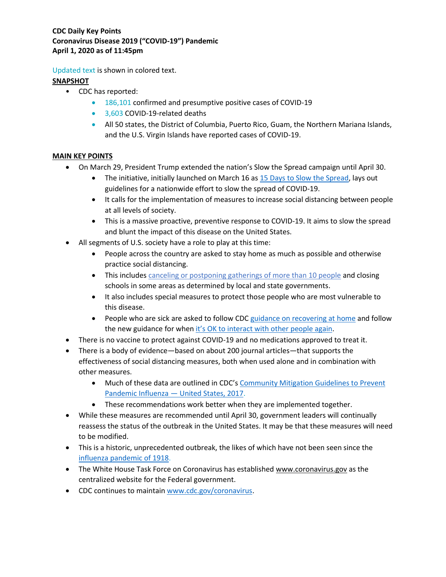Updated text is shown in colored text.

## **SNAPSHOT**

- [CDC has reported:](https://www.cdc.gov/coronavirus/2019-ncov/cases-in-us.html)
	- 186,101 confirmed and presumptive positive cases of COVID-19
	- 3.603 COVID-19-related deaths
	- All 50 states, the District of Columbia, Puerto Rico, Guam, the Northern Mariana Islands, and the U.S. Virgin Islands have reported cases of COVID-19.

## **MAIN KEY POINTS**

- On March 29, President Trump extended the nation's Slow the Spread campaign until April 30.
	- The initiative, initially launched on March 16 as [15 Days to Slow](https://www.whitehouse.gov/wp-content/uploads/2020/03/03.16.20_coronavirus-guidance_8.5x11_315PM.pdf) the Spread, lays out guidelines for a nationwide effort to slow the spread of COVID-19.
	- It calls for the implementation of measures to increase social distancing between people at all levels of society.
	- This is a massive proactive, preventive response to COVID-19. It aims to slow the spread and blunt the impact of this disease on the United States.
- All segments of U.S. society have a role to play at this time:
	- People across the country are asked to stay home as much as possible and otherwise practice social distancing.
	- This includes [canceling or postponing gatherings](https://www.cdc.gov/coronavirus/2019-ncov/community/large-events/index.html) of more than 10 people and closing schools in some areas as determined by local and state governments.
	- It also includes special measures to protect those people who are most vulnerable to this disease.
	- People who are sick are asked to follow CDC [guidance on recovering at home](https://www.cdc.gov/coronavirus/2019-ncov/if-you-are-sick/steps-when-sick.html) and follow the new guidance for when it's OK to [interact with other people again.](https://www.cdc.gov/coronavirus/2019-ncov/hcp/disposition-in-home-patients.html)
- There is no vaccine to protect against COVID-19 and no medications approved to treat it.
- There is a body of evidence—based on about 200 journal articles—that supports the effectiveness of social distancing measures, both when used alone and in combination with other measures.
	- Much of these data are outlined in CDC's [Community Mitigation Guidelines to Prevent](https://www.cdc.gov/mmwr/volumes/66/rr/rr6601a1.htm)  [Pandemic Influenza](https://www.cdc.gov/mmwr/volumes/66/rr/rr6601a1.htm) — United States, 2017.
	- These recommendations work better when they are implemented together.
- While these measures are recommended until April 30, government leaders will continually reassess the status of the outbreak in the United States. It may be that these measures will need to be modified.
- This is a historic, unprecedented outbreak, the likes of which have not been seen since the influenza [pandemic of 1918.](https://www.cdc.gov/flu/pandemic-resources/1918-pandemic-h1n1.html)
- The White House Task Force on Coronavirus has established [www.coronavirus.gov](http://www.coronavirus.gov/) as the centralized website for the Federal government.
- CDC continues to maintain [www.cdc.gov/coronavirus.](http://www.cdc.gov/coronavirus)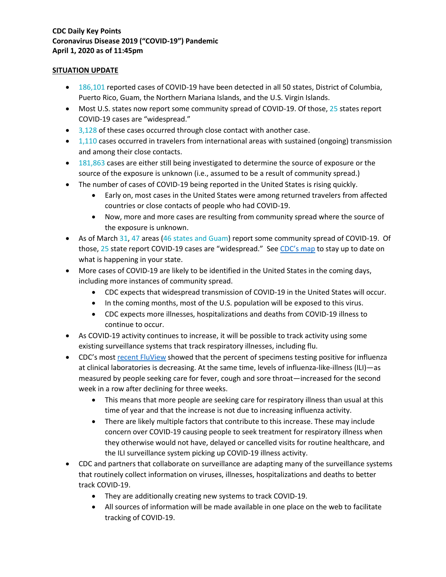#### **SITUATION UPDATE**

- 186,101 reported cases of COVID-19 have been detected in all 50 states, District of Columbia, Puerto Rico, Guam, the Northern Mariana Islands, and the U.S. Virgin Islands.
- Most U.S. states now report some community spread of COVID-19. Of those, 25 states report COVID-19 cases are "widespread."
- 3,128 of these cases occurred through close contact with another case.
- 1,110 cases occurred in travelers from international areas with sustained (ongoing) transmission and among their close contacts.
- 181,863 cases are either still being investigated to determine the source of exposure or the source of the exposure is unknown (i.e., assumed to be a result of community spread.)
- The number of cases of COVID-19 being reported in the United States is rising quickly.
	- Early on, most cases in the United States were among returned travelers from affected countries or close contacts of people who had COVID-19.
	- Now, more and more cases are resulting from community spread where the source of the exposure is unknown.
- As of March 31, 47 areas (46 states and Guam) report some community spread of COVID-19. Of those, 25 state report COVID-19 cases are "widespread." Se[e CDC's map](https://www.cdc.gov/coronavirus/2019-ncov/cases-updates/cases-in-us.html#reporting-cases) to stay up to date on what is happening in your state.
- More cases of COVID-19 are likely to be identified in the United States in the coming days, including more instances of community spread.
	- CDC expects that widespread transmission of COVID-19 in the United States will occur.
	- In the coming months, most of the U.S. population will be exposed to this virus.
	- CDC expects more illnesses, hospitalizations and deaths from COVID-19 illness to continue to occur.
- As COVID-19 activity continues to increase, it will be possible to track activity using some existing surveillance systems that track respiratory illnesses, including flu.
- CDC's most recent [FluView](https://www.cdc.gov/flu/weekly/fluactivitysurv.htm.) showed that the percent of specimens testing positive for influenza at clinical laboratories is decreasing. At the same time, levels of influenza-like-illness (ILI)—as measured by people seeking care for fever, cough and sore throat—increased for the second week in a row after declining for three weeks.
	- This means that more people are seeking care for respiratory illness than usual at this time of year and that the increase is not due to increasing influenza activity.
	- There are likely multiple factors that contribute to this increase. These may include concern over COVID-19 causing people to seek treatment for respiratory illness when they otherwise would not have, delayed or cancelled visits for routine healthcare, and the ILI surveillance system picking up COVID-19 illness activity.
- CDC and partners that collaborate on surveillance are adapting many of the surveillance systems that routinely collect information on viruses, illnesses, hospitalizations and deaths to better track COVID-19.
	- They are additionally creating new systems to track COVID-19.
	- All sources of information will be made available in one place on the web to facilitate tracking of COVID-19.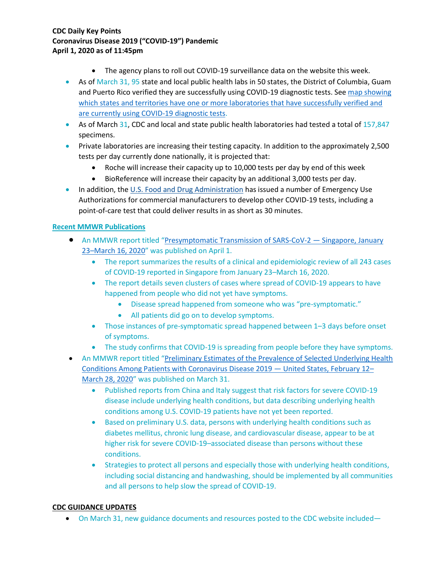- The agency plans to roll out COVID-19 surveillance data on the website this week.
- As of March 31, 95 state and local public health labs in 50 states, the District of Columbia, Guam and Puerto Rico verified they are successfully using COVID-19 diagnostic tests. See map showing [which states and territories have one or more laboratories that have successfully verified and](https://www.cdc.gov/coronavirus/2019-ncov/testing-in-us.html)  [are currently using COVID-19 diagnostic tests.](https://www.cdc.gov/coronavirus/2019-ncov/testing-in-us.html)
- As of March 31, CDC and local and state public health laboratories had tested a total of 157,847 specimens.
- Private laboratories are increasing their testing capacity. In addition to the approximately 2,500 tests per day currently done nationally, it is projected that:
	- Roche will increase their capacity up to 10,000 tests per day by end of this week
	- BioReference will increase their capacity by an additional 3,000 tests per day.
- In addition, the [U.S. Food and Drug Administration](https://www.fda.gov/emergency-preparedness-and-response/mcm-issues/coronavirus-disease-2019-covid-19-frequently-asked-questions) has issued a number of Emergency Use Authorizations for commercial manufacturers to develop other COVID-19 tests, including a point-of-care test that could deliver results in as short as 30 minutes.

## **Recent MMWR Publications**

- An MMWR report titled "[Presymptomatic Transmission of SARS-CoV-2](https://www.cdc.gov/mmwr/volumes/69/wr/mm6914e1.htm?s_cid=mm6914e1_w)  Singapore, January 23–[March 16, 2020](https://www.cdc.gov/mmwr/volumes/69/wr/mm6914e1.htm?s_cid=mm6914e1_w)" was published on April 1.
	- The report summarizes the results of a clinical and epidemiologic review of all 243 cases of COVID-19 reported in Singapore from January 23–March 16, 2020.
	- The report details seven clusters of cases where spread of COVID-19 appears to have happened from people who did not yet have symptoms.
		- Disease spread happened from someone who was "pre-symptomatic."
		- All patients did go on to develop symptoms.
	- Those instances of pre-symptomatic spread happened between 1–3 days before onset of symptoms.
	- The study confirms that COVID-19 is spreading from people before they have symptoms.
- An MMWR report titled "Preliminary Estimates of the Prevalence of Selected Underlying Health [Conditions Among Patients with Coronavirus Disease 2019](https://www.cdc.gov/mmwr/volumes/69/wr/mm6913e2.htm?s_cid=mm6913e2_w) — United States, February 12– [March 28, 2020](https://www.cdc.gov/mmwr/volumes/69/wr/mm6913e2.htm?s_cid=mm6913e2_w)" was published on March 31.
	- Published reports from China and Italy suggest that risk factors for severe COVID-19 disease include underlying health conditions, but data describing underlying health conditions among U.S. COVID-19 patients have not yet been reported.
	- Based on preliminary U.S. data, persons with underlying health conditions such as diabetes mellitus, chronic lung disease, and cardiovascular disease, appear to be at higher risk for severe COVID-19–associated disease than persons without these conditions.
	- Strategies to protect all persons and especially those with underlying health conditions, including social distancing and handwashing, should be implemented by all communities and all persons to help slow the spread of COVID-19.

## **CDC GUIDANCE UPDATES**

• On March 31, new guidance documents and resources posted to the CDC website included—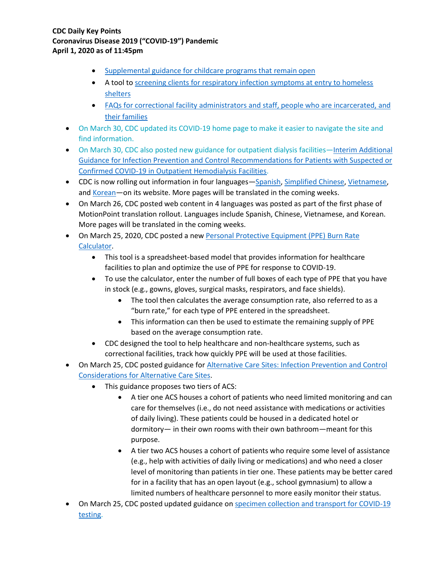- [Supplemental guidance for childcare programs that remain open](https://www.cdc.gov/coronavirus/2019-ncov/community/schools-childcare/guidance-for-childcare.html)
- A tool to [screening clients for respiratory infection symptoms at entry to homeless](https://www.cdc.gov/coronavirus/2019-ncov/community/homeless-shelters/screening-clients-respiratory-infection-symptoms.html)  [shelters](https://www.cdc.gov/coronavirus/2019-ncov/community/homeless-shelters/screening-clients-respiratory-infection-symptoms.html)
- FAQs for correctional facility administrators [and staff, people who are incarcerated, and](https://www.cdc.gov/coronavirus/2019-ncov/community/correction-detention/faq.html)  [their families](https://www.cdc.gov/coronavirus/2019-ncov/community/correction-detention/faq.html)
- On March 30, CDC updated its COVID-19 home page to make it easier to navigate the site and find information.
- On March 30, CDC also posted new guidance for outpatient dialysis facilities—Interim Additional [Guidance for Infection Prevention and Control Recommendations for Patients with Suspected or](https://www.cdc.gov/coronavirus/2019-ncov/healthcare-facilities/dialysis.html)  [Confirmed COVID-19 in Outpatient Hemodialysis Facilities.](https://www.cdc.gov/coronavirus/2019-ncov/healthcare-facilities/dialysis.html)
- CDC is now rolling out information in four languages—[Spanish,](https://espanol.cdc.gov/enes/coronavirus/2019-ncov/index.html) [Simplified Chinese,](https://chinese.cdc.gov/coronavirus/2019-ncov/index.html) [Vietnamese,](https://vietnamese.cdc.gov/coronavirus/2019-ncov/index.html) and [Korean](https://korean.cdc.gov/coronavirus/2019-ncov/index.html)—on its website. More pages will be translated in the coming weeks.
- On March 26, CDC posted web content in 4 languages was posted as part of the first phase of MotionPoint translation rollout. Languages include Spanish, Chinese, Vietnamese, and Korean. More pages will be translated in the coming weeks.
- On March 25, 2020, CDC posted a new Personal Protective Equipment (PPE) Burn Rate [Calculator.](https://www.cdc.gov/coronavirus/2019-ncov/hcp/ppe-strategy/burn-calculator.html)
	- This tool is a spreadsheet-based model that provides information for healthcare facilities to plan and optimize the use of PPE for response to COVID-19.
	- To use the calculator, enter the number of full boxes of each type of PPE that you have in stock (e.g., gowns, gloves, surgical masks, respirators, and face shields).
		- The tool then calculates the average consumption rate, also referred to as a "burn rate," for each type of PPE entered in the spreadsheet.
		- This information can then be used to estimate the remaining supply of PPE based on the average consumption rate.
	- CDC designed the tool to help healthcare and non-healthcare systems, such as correctional facilities, track how quickly PPE will be used at those facilities.
- On March 25, CDC posted guidance for **Alternative Care Sites: Infection Prevention and Control** [Considerations for Alternative Care Sites.](https://www.cdc.gov/coronavirus/2019-ncov/healthcare-facilities/alternative-care-sites.html)
	- This guidance proposes two tiers of ACS:
		- A tier one ACS houses a cohort of patients who need limited monitoring and can care for themselves (i.e., do not need assistance with medications or activities of daily living). These patients could be housed in a dedicated hotel or dormitory— in their own rooms with their own bathroom—meant for this purpose.
		- A tier two ACS houses a cohort of patients who require some level of assistance (e.g., help with activities of daily living or medications) and who need a closer level of monitoring than patients in tier one. These patients may be better cared for in a facility that has an open layout (e.g., school gymnasium) to allow a limited numbers of healthcare personnel to more easily monitor their status.
- On March 25, CDC posted updated guidance on specimen collection and transport for COVID-19 [testing.](https://www.cdc.gov/coronavirus/2019-nCoV/lab/guidelines-clinical-specimens.html)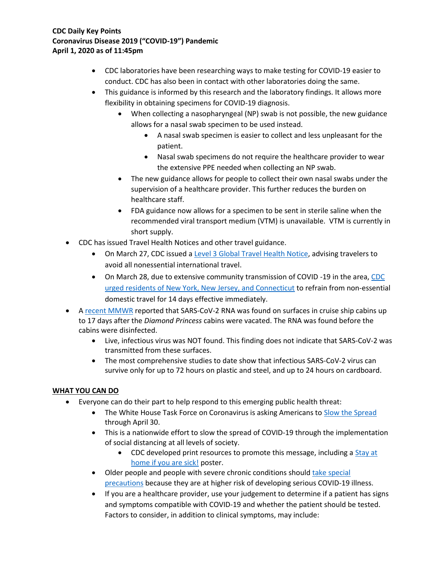- CDC laboratories have been researching ways to make testing for COVID-19 easier to conduct. CDC has also been in contact with other laboratories doing the same.
- This guidance is informed by this research and the laboratory findings. It allows more flexibility in obtaining specimens for COVID-19 diagnosis.
	- When collecting a nasopharyngeal (NP) swab is not possible, the new guidance allows for a nasal swab specimen to be used instead.
		- A nasal swab specimen is easier to collect and less unpleasant for the patient.
		- Nasal swab specimens do not require the healthcare provider to wear the extensive PPE needed when collecting an NP swab.
	- The new guidance allows for people to collect their own nasal swabs under the supervision of a healthcare provider. This further reduces the burden on healthcare staff.
	- FDA guidance now allows for a specimen to be sent in sterile saline when the recommended viral transport medium (VTM) is unavailable. VTM is currently in short supply.
- CDC has issued Travel Health Notices and other travel guidance.
	- On March 27, CDC issued [a Level 3 Global Travel Health Notice,](https://wwwnc.cdc.gov/travel/notices/warning/coronavirus-global) advising travelers to avoid all nonessential international travel.
	- On March 28, due to extensive community transmission of COVID -19 in the area, CDC [urged residents of New York, New Jersey, and Connecticut](https://www.cdc.gov/media/releases/2020/s038-travel-advisory.html) to refrain from non-essential domestic travel for 14 days effective immediately.
- A [recent MMWR](https://www.cdc.gov/mmwr/volumes/69/wr/mm6912e3.htm?s_cid=mm6912e3_w) reported that SARS-CoV-2 RNA was found on surfaces in cruise ship cabins up to 17 days after the *Diamond Princess* cabins were vacated. The RNA was found before the cabins were disinfected.
	- Live, infectious virus was NOT found. This finding does not indicate that SARS-CoV-2 was transmitted from these surfaces.
	- The most comprehensive studies to date show that infectious SARS-CoV-2 virus can survive only for up to 72 hours on plastic and steel, and up to 24 hours on cardboard.

# **WHAT YOU CAN DO**

- Everyone can do their part to help respond to this emerging public health threat:
	- The White House Task Force on Coronavirus is asking Americans to [Slow the Spread](https://www.whitehouse.gov/wp-content/uploads/2020/03/03.16.20_coronavirus-guidance_8.5x11_315PM.pdf) through April 30.
	- This is a nationwide effort to slow the spread of COVID-19 through the implementation of social distancing at all levels of society.
		- CDC developed print resources to promote this message, including a [Stay at](https://www.cdc.gov/coronavirus/2019-ncov/downloads/StayHomeFromWork_Horizontal.pdf)  [home if you are sick!](https://www.cdc.gov/coronavirus/2019-ncov/downloads/StayHomeFromWork_Horizontal.pdf) poster.
	- Older people and people with severe chronic conditions should take special [precautions](https://www.cdc.gov/coronavirus/2019-ncov/specific-groups/high-risk-complications.html) because they are at higher risk of developing serious COVID-19 illness.
	- If you are a healthcare provider, use your judgement to determine if a patient has signs and symptoms compatible with COVID-19 and whether the patient should be tested. Factors to consider, in addition to clinical symptoms, may include: